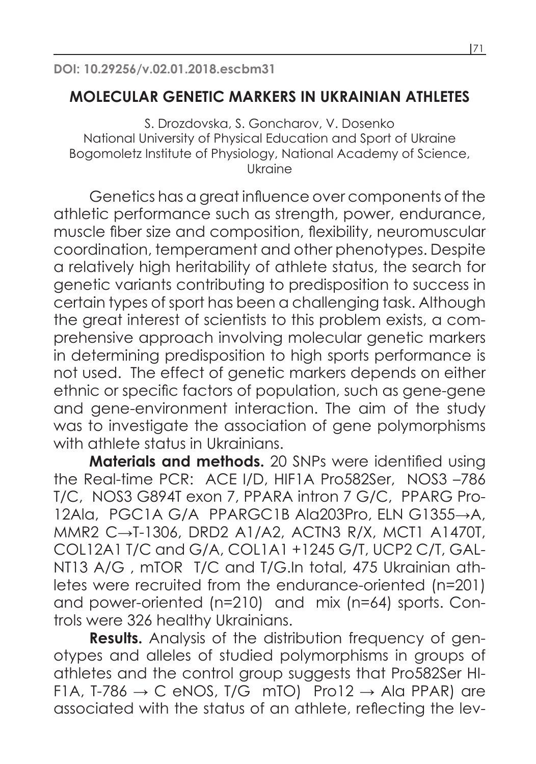## **MOLECULAR GENETIC MARKERS IN UKRAINIAN ATHLETES**

S. Drozdovska, S. Goncharov, V. Dosenko National University of Physical Education and Sport of Ukraine Bogomoletz Institute of Physiology, National Academy of Science, Ukraine

Genetics has a great influence over components of the athletic performance such as strength, power, endurance, muscle fiber size and composition, flexibility, neuromuscular coordination, temperament and other phenotypes. Despite a relatively high heritability of athlete status, the search for genetic variants contributing to predisposition to success in certain types of sport has been a challenging task. Although the great interest of scientists to this problem exists, a comprehensive approach involving molecular genetic markers in determining predisposition to high sports performance is not used. The effect of genetic markers depends on either ethnic or specific factors of population, such as gene-gene and gene-environment interaction. The aim of the study was to investigate the association of gene polymorphisms with athlete status in Ukrainians.

**Materials and methods.** 20 SNPs were identified using the Real-time PCR: ACE I/D, HIF1A Pro582Ser, NOS3 –786 T/C, NOS3 G894T exon 7, PPARA intron 7 G/C, PPARG Pro-12Ala, PGC1A G/A PPARGC1B Ala203Pro, ELN G1355→A, MMR2 C→T-1306, DRD2 A1/A2, ACTN3 R/X, MCT1 A1470T, COL12A1 T/C and G/A, COL1A1 +1245 G/T, UCP2 C/T, GAL-NT13 A/G , mTOR T/C and T/G.In total, 475 Ukrainian athletes were recruited from the endurance-oriented (n=201) and power-oriented (n=210) and mix (n=64) sports. Controls were 326 healthy Ukrainians.

**Results.** Analysis of the distribution frequency of genotypes and alleles of studied polymorphisms in groups of athletes and the control group suggests that Pro582Ser HI-F1A, T-786  $\rightarrow$  C eNOS, T/G mTO) Pro12  $\rightarrow$  Ala PPAR) are associated with the status of an athlete, reflecting the lev-